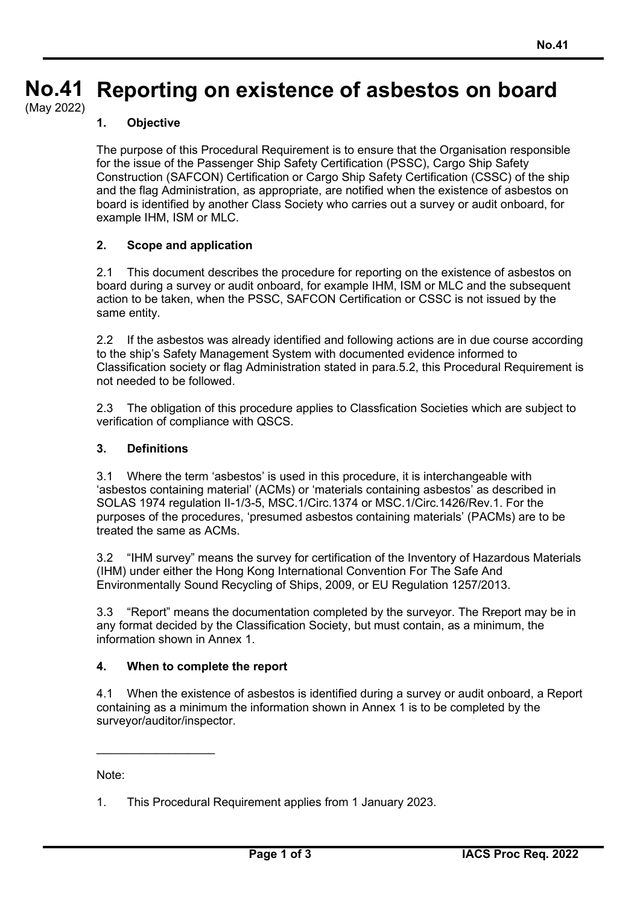#### **No.41 No.41 Reporting on existence of asbestos on board**

(May 2022)

# **1. Objective**

The purpose of this Procedural Requirement is to ensure that the Organisation responsible for the issue of the Passenger Ship Safety Certification (PSSC), Cargo Ship Safety Construction (SAFCON) Certification or Cargo Ship Safety Certification (CSSC) of the ship and the flag Administration, as appropriate, are notified when the existence of asbestos on board is identified by another Class Society who carries out a survey or audit onboard, for example IHM, ISM or MLC.

### **2. Scope and application**

2.1 This document describes the procedure for reporting on the existence of asbestos on board during a survey or audit onboard, for example IHM, ISM or MLC and the subsequent action to be taken, when the PSSC, SAFCON Certification or CSSC is not issued by the same entity.

2.2 If the asbestos was already identified and following actions are in due course according to the ship's Safety Management System with documented evidence informed to Classification society or flag Administration stated in para.5.2, this Procedural Requirement is not needed to be followed.

2.3 The obligation of this procedure applies to Classfication Societies which are subject to verification of compliance with QSCS.

#### **3. Definitions**

3.1 Where the term 'asbestos' is used in this procedure, it is interchangeable with 'asbestos containing material' (ACMs) or 'materials containing asbestos' as described in SOLAS 1974 regulation II-1/3-5, MSC.1/Circ.1374 or MSC.1/Circ.1426/Rev.1. For the purposes of the procedures, 'presumed asbestos containing materials' (PACMs) are to be treated the same as ACMs.

3.2 "IHM survey" means the survey for certification of the Inventory of Hazardous Materials (IHM) under either the Hong Kong International Convention For The Safe And Environmentally Sound Recycling of Ships, 2009, or EU Regulation 1257/2013.

3.3 "Report" means the documentation completed by the surveyor. The Rreport may be in any format decided by the Classification Society, but must contain, as a minimum, the information shown in Annex 1.

### **4. When to complete the report**

4.1 When the existence of asbestos is identified during a survey or audit onboard, a Report containing as a minimum the information shown in Annex 1 is to be completed by the surveyor/auditor/inspector.

Note:

 $\overline{\phantom{a}}$ 

<sup>1.</sup> This Procedural Requirement applies from 1 January 2023.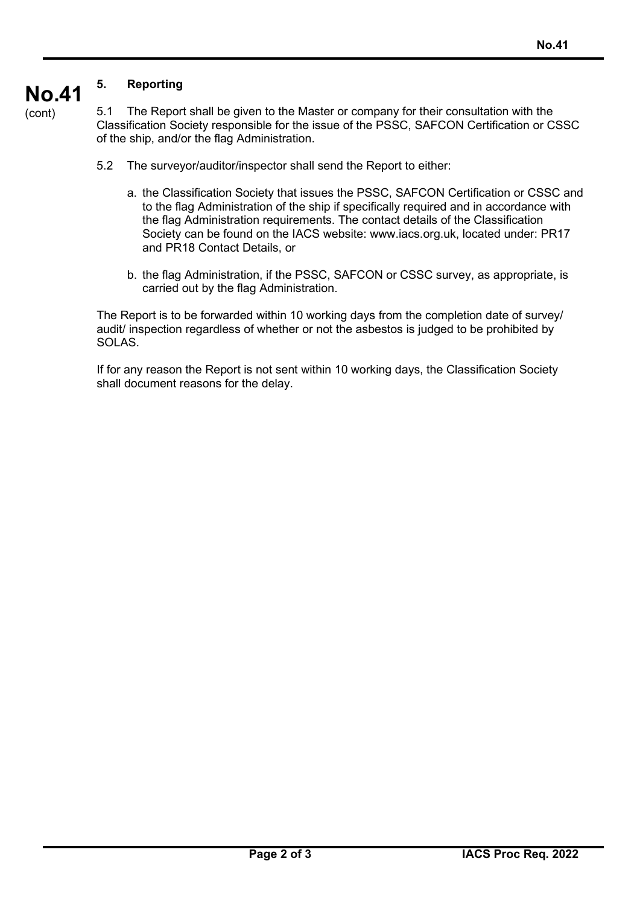#### **No.41 5. Reporting**

(cont)

5.1 The Report shall be given to the Master or company for their consultation with the Classification Society responsible for the issue of the PSSC, SAFCON Certification or CSSC of the ship, and/or the flag Administration.

- 5.2 The surveyor/auditor/inspector shall send the Report to either:
	- a. the Classification Society that issues the PSSC, SAFCON Certification or CSSC and to the flag Administration of the ship if specifically required and in accordance with the flag Administration requirements. The contact details of the Classification Society can be found on the IACS website: www.iacs.org.uk, located under: PR17 and PR18 Contact Details, or
	- b. the flag Administration, if the PSSC, SAFCON or CSSC survey, as appropriate, is carried out by the flag Administration.

The Report is to be forwarded within 10 working days from the completion date of survey/ audit/ inspection regardless of whether or not the asbestos is judged to be prohibited by SOLAS.

If for any reason the Report is not sent within 10 working days, the Classification Society shall document reasons for the delay.